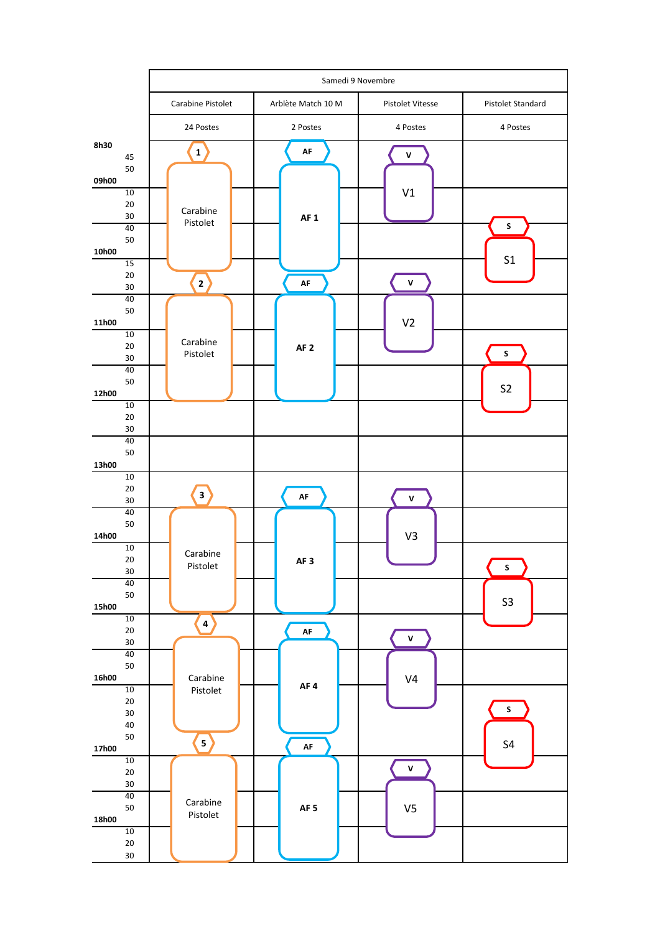|                    | Samedi 9 Novembre                               |                    |                    |                           |
|--------------------|-------------------------------------------------|--------------------|--------------------|---------------------------|
|                    | Carabine Pistolet                               | Arblète Match 10 M | Pistolet Vitesse   | Pistolet Standard         |
|                    | 24 Postes                                       | 2 Postes           | 4 Postes           | 4 Postes                  |
| 8h30<br>45         | $\left  \begin{array}{c} 1 \end{array} \right $ | AF                 | $\pmb{\mathsf{V}}$ |                           |
| 50<br>09h00        |                                                 |                    |                    |                           |
| 10<br>20           | Carabine                                        |                    | V1                 |                           |
| 30<br>40           | Pistolet                                        | AF <sub>1</sub>    |                    | ${\sf s}$                 |
| 50<br>10h00<br>15  |                                                 |                    |                    | S <sub>1</sub>            |
| 20<br>30           | $\mathbf{2}^{\top}$                             | AF                 | $\mathsf{v}$       |                           |
| 40<br>50           |                                                 |                    |                    |                           |
| 11h00<br>10        |                                                 |                    | V <sub>2</sub>     |                           |
| 20<br>30           | Carabine<br>Pistolet                            | AF <sub>2</sub>    |                    | $\sf s$                   |
| 40<br>50           |                                                 |                    |                    | S <sub>2</sub>            |
| 12h00<br>10        |                                                 |                    |                    |                           |
| 20<br>30           |                                                 |                    |                    |                           |
| 40<br>50<br>13h00  |                                                 |                    |                    |                           |
| 10<br>$20\,$<br>30 | $\overline{\mathbf{3}}$                         | $\mathsf{AF}$      | $\mathsf{V}$       |                           |
| 40<br>50<br>14h00  |                                                 |                    | V3                 |                           |
| 10<br>20<br>30     | Carabine<br>Pistolet                            | AF <sub>3</sub>    |                    | $\boldsymbol{\mathsf{s}}$ |
| 40<br>50           |                                                 |                    |                    |                           |
| 15h00<br>10        | $\left( \frac{4}{3} \right)$                    |                    |                    | $S3$                      |
| $20\,$<br>$30\,$   |                                                 | AF                 | $\pmb{\mathsf{v}}$ |                           |
| 40<br>50           |                                                 |                    |                    |                           |
| 16h00<br>10        | Carabine<br>Pistolet                            | AF4                | V <sub>4</sub>     |                           |
| $20\,$<br>$30\,$   |                                                 |                    |                    | $\mathsf S$               |
| 40<br>50<br>17h00  | $\vert$                                         | AF                 |                    | S <sub>4</sub>            |
| 10<br>$20\,$       |                                                 |                    | $\pmb{\mathsf{V}}$ |                           |
| 30<br>40           |                                                 |                    |                    |                           |
| 50<br>18h00        | Carabine<br>Pistolet                            | AF <sub>5</sub>    | V <sub>5</sub>     |                           |
| $10$<br>$20\,$     |                                                 |                    |                    |                           |
| $30\,$             |                                                 |                    |                    |                           |